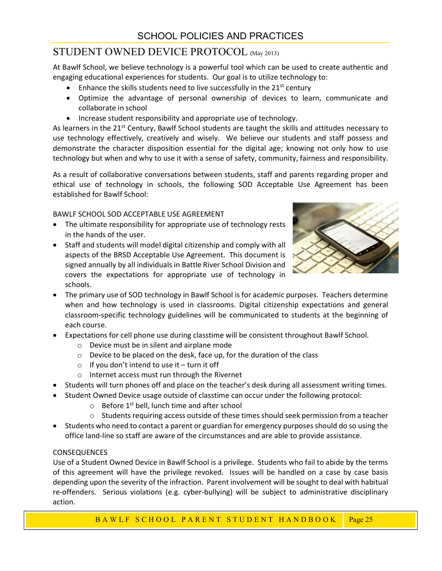# STUDENT OWNED DEVICE PROTOCOL (May 2013)

At Bawlf School, we believe technology is a powerful tool which can be used to create authentic and engaging educational experiences for students. Our goal is to utilize technology to:

- **•** Enhance the skills students need to live successfully in the  $21<sup>st</sup>$  century
- Optimize the advantage of personal ownership of devices to learn, communicate and collaborate in school
- Increase student responsibility and appropriate use of technology.

As learners in the 21<sup>st</sup> Century, Bawlf School students are taught the skills and attitudes necessary to use technology effectively, creatively and wisely. We believe our students and staff possess and demonstrate the character disposition essential for the digital age; knowing not only how to use technology but when and why to use it with a sense of safety, community, fairness and responsibility.

As a result of collaborative conversations between students, staff and parents regarding proper and ethical use of technology in schools, the following SOD Acceptable Use Agreement has been established for Bawlf School:

### BAWLF SCHOOL SOD ACCEPTABLE USE AGREEMENT

- The ultimate responsibility for appropriate use of technology rests in the hands of the user.
- Staff and students will model digital citizenship and comply with all aspects of the BRSD Acceptable Use Agreement. This document is signed annually by all individuals in Battle River School Division and covers the expectations for appropriate use of technology in schools.



- The primary use of SOD technology in Bawlf School is for academic purposes. Teachers determine when and how technology is used in classrooms. Digital citizenship expectations and general classroom-specific technology guidelines will be communicated to students at the beginning of each course.
- Expectations for cell phone use during classtime will be consistent throughout Bawlf School.
	- o Device must be in silent and airplane mode
	- o Device to be placed on the desk, face up, for the duration of the class
	- $\circ$  If you don't intend to use it turn it off
	- o Internet access must run through the Rivernet
- Students will turn phones off and place on the teacher's desk during all assessment writing times.
- Student Owned Device usage outside of classtime can occur under the following protocol:
	- $\circ$  Before 1<sup>st</sup> bell, lunch time and after school
	- $\circ$  Students requiring access outside of these times should seek permission from a teacher
- Students who need to contact a parent or guardian for emergency purposes should do so using the office land-line so staff are aware of the circumstances and are able to provide assistance.

## **CONSEQUENCES**

ons for cell phone use during classtime will be consistent throughout Bawlf School.<br>
evice to the plisient and airplane mode<br>
evice to the plisient and airplane mode<br>
evice to the placed on the desk, face up, for the durat Use of a Student Owned Device in Bawlf School is a privilege. Students who fail to abide by the terms of this agreement will have the privilege revoked. Issues will be handled on a case by case basis depending upon the severity of the infraction. Parent involvement will be sought to deal with habitual re-offenders. Serious violations (e.g. cyber-bullying) will be subject to administrative disciplinary action.